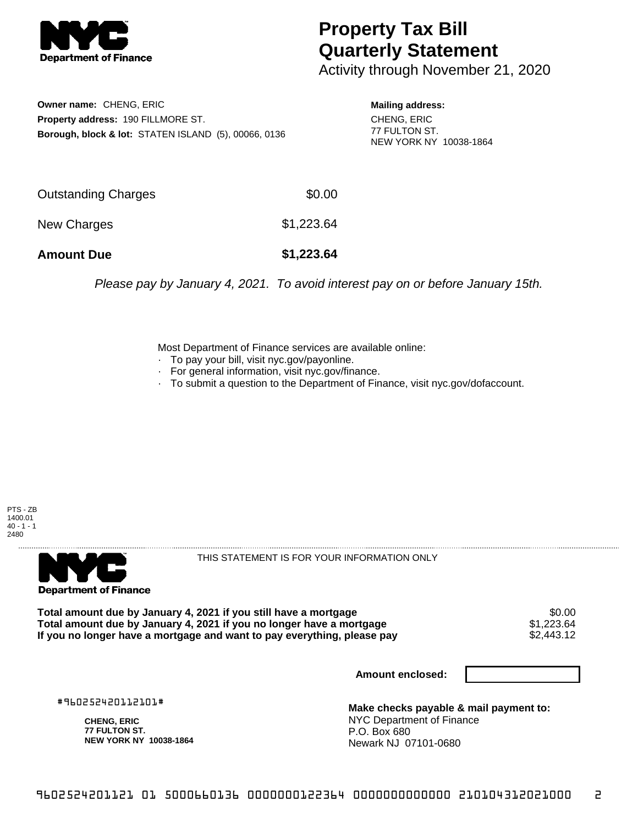

## **Property Tax Bill Quarterly Statement**

Activity through November 21, 2020

**Owner name:** CHENG, ERIC **Property address:** 190 FILLMORE ST. **Borough, block & lot:** STATEN ISLAND (5), 00066, 0136

**Mailing address:** CHENG, ERIC 77 FULTON ST. NEW YORK NY 10038-1864

| <b>Amount Due</b>   | \$1,223.64 |
|---------------------|------------|
| New Charges         | \$1,223.64 |
| Outstanding Charges | \$0.00     |

Please pay by January 4, 2021. To avoid interest pay on or before January 15th.

Most Department of Finance services are available online:

- · To pay your bill, visit nyc.gov/payonline.
- For general information, visit nyc.gov/finance.
- · To submit a question to the Department of Finance, visit nyc.gov/dofaccount.





THIS STATEMENT IS FOR YOUR INFORMATION ONLY

Total amount due by January 4, 2021 if you still have a mortgage \$0.00<br>Total amount due by January 4, 2021 if you no longer have a mortgage \$1.223.64 **Total amount due by January 4, 2021 if you no longer have a mortgage**  $$1,223.64$ **<br>If you no longer have a mortgage and want to pay everything, please pay <b>show that the summan set of the s**2,443.12 If you no longer have a mortgage and want to pay everything, please pay

**Amount enclosed:**

#960252420112101#

**CHENG, ERIC 77 FULTON ST. NEW YORK NY 10038-1864**

**Make checks payable & mail payment to:** NYC Department of Finance P.O. Box 680 Newark NJ 07101-0680